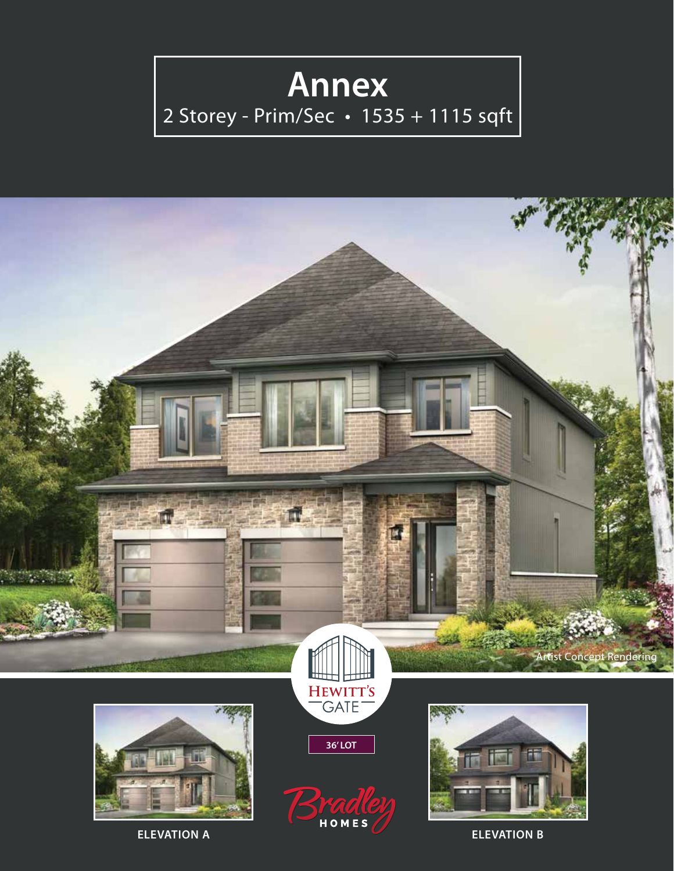## **Annex**

## 2 Storey - Prim/Sec • 1535 + 1115 sqft